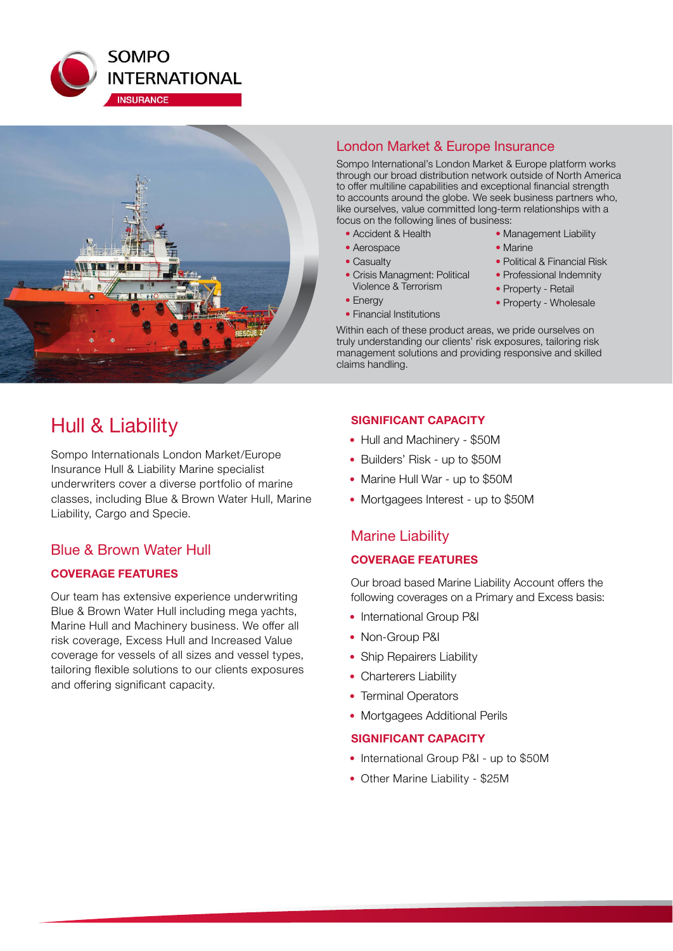



## London Market & Europe Insurance

Sompo International's London Market & Europe platform works through our broad distribution network outside of North America to offer multiline capabilities and exceptional financial strength to accounts around the globe. We seek business partners who, like ourselves, value committed long-term relationships with a focus on the following lines of business:

- Accident & Health
- Aerospace
- Casualty
- Crisis Managment: Political Violence & Terrorism
- Energy
- Financial Institutions
- Management Liability
- Marine
- Political & Financial Risk
- Professional Indemnity
- Property Retail
- Property Wholesale

Within each of these product areas, we pride ourselves on truly understanding our clients' risk exposures, tailoring risk management solutions and providing responsive and skilled claims handling.

# Hull & Liability

Sompo Internationals London Market/Europe Insurance Hull & Liability Marine specialist underwriters cover a diverse portfolio of marine classes, including Blue & Brown Water Hull, Marine Liability, Cargo and Specie.

# Blue & Brown Water Hull

### **COVERAGE FEATURES**

Our team has extensive experience underwriting Blue & Brown Water Hull including mega yachts, Marine Hull and Machinery business. We offer all risk coverage, Excess Hull and Increased Value coverage for vessels of all sizes and vessel types, tailoring flexible solutions to our clients exposures and offering significant capacity.

### **SIGNIFICANT CAPACITY**

- Hull and Machinery \$50M
- Builders' Risk up to \$50M
- Marine Hull War up to \$50M
- Mortgagees Interest up to \$50M

# Marine Liability

#### **COVERAGE FEATURES**

Our broad based Marine Liability Account offers the following coverages on a Primary and Excess basis:

- International Group P&I
- Non-Group P&I
- Ship Repairers Liability
- Charterers Liability
- Terminal Operators
- Mortgagees Additional Perils

#### **SIGNIFICANT CAPACITY**

- International Group P&I up to \$50M
- Other Marine Liability \$25M